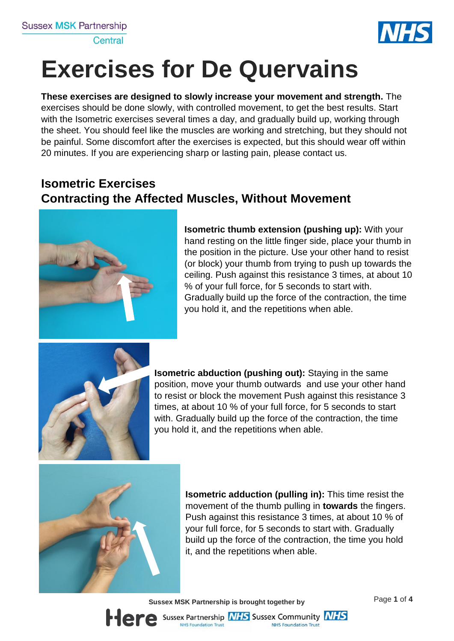

# **Exercises for De Quervains**

**These exercises are designed to slowly increase your movement and strength.** The exercises should be done slowly, with controlled movement, to get the best results. Start with the Isometric exercises several times a day, and gradually build up, working through the sheet. You should feel like the muscles are working and stretching, but they should not be painful. Some discomfort after the exercises is expected, but this should wear off within 20 minutes. If you are experiencing sharp or lasting pain, please contact us.

## **Isometric Exercises Contracting the Affected Muscles, Without Movement**



**Isometric thumb extension (pushing up):** With your hand resting on the little finger side, place your thumb in the position in the picture. Use your other hand to resist (or block) your thumb from trying to push up towards the ceiling. Push against this resistance 3 times, at about 10 % of your full force, for 5 seconds to start with. Gradually build up the force of the contraction, the time you hold it, and the repetitions when able.



**Isometric abduction (pushing out):** Staying in the same position, move your thumb outwards and use your other hand to resist or block the movement Push against this resistance 3 times, at about 10 % of your full force, for 5 seconds to start with. Gradually build up the force of the contraction, the time you hold it, and the repetitions when able.



**Isometric adduction (pulling in):** This time resist the movement of the thumb pulling in **towards** the fingers. Push against this resistance 3 times, at about 10 % of your full force, for 5 seconds to start with. Gradually build up the force of the contraction, the time you hold it, and the repetitions when able.

**Sus** Page **1** of **4 sex MSK Partnership is brought together by**

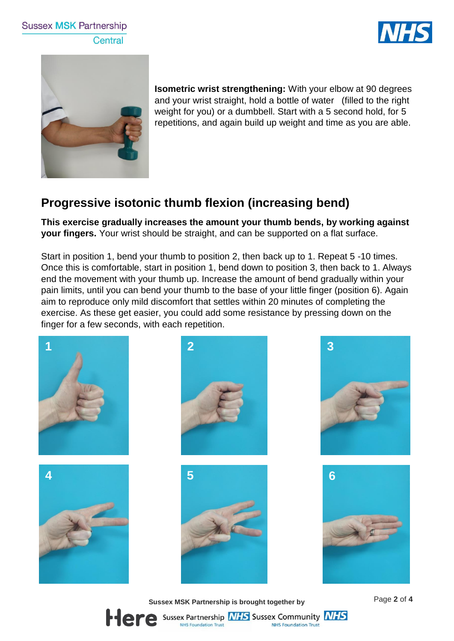#### **Sussex MSK Partnership** Central





**Isometric wrist strengthening:** With your elbow at 90 degrees and your wrist straight, hold a bottle of water (filled to the right weight for you) or a dumbbell. Start with a 5 second hold, for 5 repetitions, and again build up weight and time as you are able.

### **Progressive isotonic thumb flexion (increasing bend)**

**This exercise gradually increases the amount your thumb bends, by working against your fingers.** Your wrist should be straight, and can be supported on a flat surface.

Start in position 1, bend your thumb to position 2, then back up to 1. Repeat 5 -10 times. Once this is comfortable, start in position 1, bend down to position 3, then back to 1. Always end the movement with your thumb up. Increase the amount of bend gradually within your pain limits, until you can bend your thumb to the base of your little finger (position 6). Again aim to reproduce only mild discomfort that settles within 20 minutes of completing the exercise. As these get easier, you could add some resistance by pressing down on the finger for a few seconds, with each repetition.



**Sus** Page **2** of **4 sex MSK Partnership is brought together by**

**NHS Foundation Trust** 

Sussex Partnership **NHS** Sussex Community **NHS** 

**NHS Foundation Trust**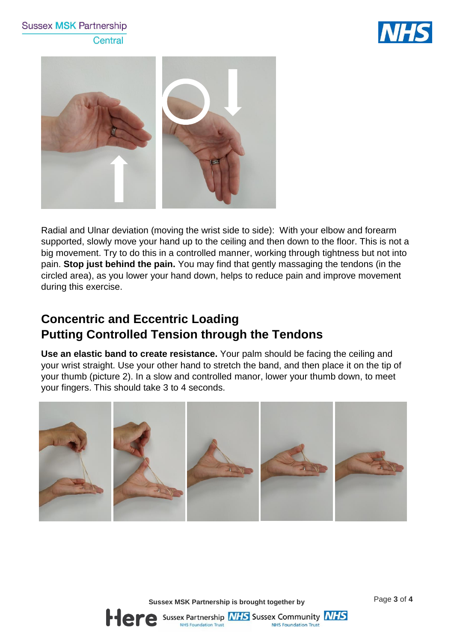#### **Sussex MSK Partnership** Central





Radial and Ulnar deviation (moving the wrist side to side): With your elbow and forearm supported, slowly move your hand up to the ceiling and then down to the floor. This is not a big movement. Try to do this in a controlled manner, working through tightness but not into pain. **Stop just behind the pain.** You may find that gently massaging the tendons (in the circled area), as you lower your hand down, helps to reduce pain and improve movement during this exercise.

#### **Concentric and Eccentric Loading Putting Controlled Tension through the Tendons**

**Use an elastic band to create resistance.** Your palm should be facing the ceiling and your wrist straight. Use your other hand to stretch the band, and then place it on the tip of your thumb (picture 2). In a slow and controlled manor, lower your thumb down, to meet your fingers. This should take 3 to 4 seconds.



**Sussex MSK Partnership is brought together by Fage 3 of 4** 

**NHS Foundation Trust**